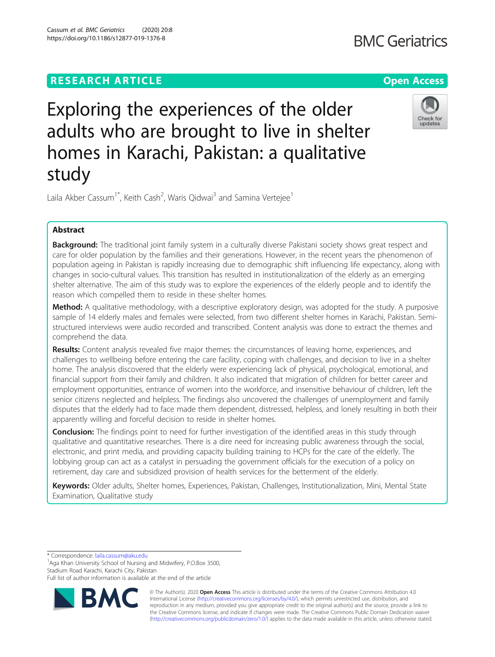Cassum et al. BMC Geriatrics (2020) 20:8 https://doi.org/10.1186/s12877-019-1376-8

## Check for undates

# Exploring the experiences of the older adults who are brought to live in shelter homes in Karachi, Pakistan: a qualitative study

Laila Akber Cassum<sup>1\*</sup>, Keith Cash<sup>2</sup>, Waris Qidwai<sup>3</sup> and Samina Vertejee<sup>1</sup>

### Abstract

Background: The traditional joint family system in a culturally diverse Pakistani society shows great respect and care for older population by the families and their generations. However, in the recent years the phenomenon of population ageing in Pakistan is rapidly increasing due to demographic shift influencing life expectancy, along with changes in socio-cultural values. This transition has resulted in institutionalization of the elderly as an emerging shelter alternative. The aim of this study was to explore the experiences of the elderly people and to identify the reason which compelled them to reside in these shelter homes.

Method: A qualitative methodology, with a descriptive exploratory design, was adopted for the study. A purposive sample of 14 elderly males and females were selected, from two different shelter homes in Karachi, Pakistan. Semistructured interviews were audio recorded and transcribed. Content analysis was done to extract the themes and comprehend the data.

Results: Content analysis revealed five major themes: the circumstances of leaving home, experiences, and challenges to wellbeing before entering the care facility, coping with challenges, and decision to live in a shelter home. The analysis discovered that the elderly were experiencing lack of physical, psychological, emotional, and financial support from their family and children. It also indicated that migration of children for better career and employment opportunities, entrance of women into the workforce, and insensitive behaviour of children, left the senior citizens neglected and helpless. The findings also uncovered the challenges of unemployment and family disputes that the elderly had to face made them dependent, distressed, helpless, and lonely resulting in both their apparently willing and forceful decision to reside in shelter homes.

Conclusion: The findings point to need for further investigation of the identified areas in this study through qualitative and quantitative researches. There is a dire need for increasing public awareness through the social, electronic, and print media, and providing capacity building training to HCPs for the care of the elderly. The lobbying group can act as a catalyst in persuading the government officials for the execution of a policy on retirement, day care and subsidized provision of health services for the betterment of the elderly.

Keywords: Older adults, Shelter homes, Experiences, Pakistan, Challenges, Institutionalization, Mini, Mental State Examination, Qualitative study

\* Correspondence: [laila.cassum@aku.edu](mailto:laila.cassum@aku.edu) <sup>1</sup>

<sup>1</sup> Aga Khan University School of Nursing and Midwifery, P.O.Box 3500, Stadium Road Karachi, Karachi City, Pakistan

Full list of author information is available at the end of the article



© The Author(s). 2020 **Open Access** This article is distributed under the terms of the Creative Commons Attribution 4.0 International License [\(http://creativecommons.org/licenses/by/4.0/](http://creativecommons.org/licenses/by/4.0/)), which permits unrestricted use, distribution, and reproduction in any medium, provided you give appropriate credit to the original author(s) and the source, provide a link to the Creative Commons license, and indicate if changes were made. The Creative Commons Public Domain Dedication waiver [\(http://creativecommons.org/publicdomain/zero/1.0/](http://creativecommons.org/publicdomain/zero/1.0/)) applies to the data made available in this article, unless otherwise stated.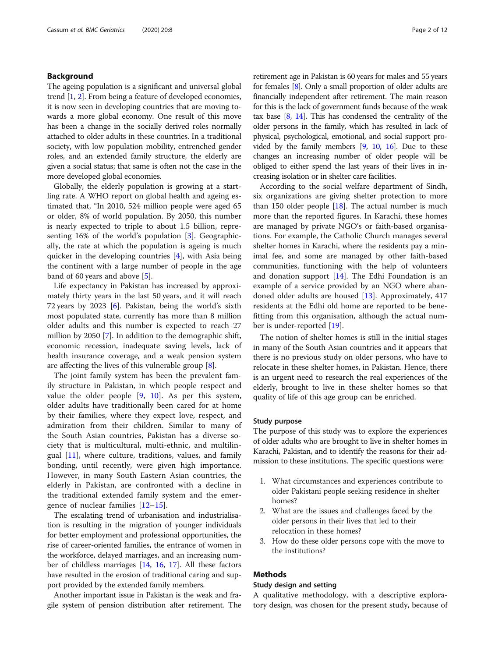#### Background

The ageing population is a significant and universal global trend [[1,](#page-10-0) [2](#page-10-0)]. From being a feature of developed economies, it is now seen in developing countries that are moving towards a more global economy. One result of this move has been a change in the socially derived roles normally attached to older adults in these countries. In a traditional society, with low population mobility, entrenched gender roles, and an extended family structure, the elderly are given a social status; that same is often not the case in the more developed global economies.

Globally, the elderly population is growing at a startling rate. A WHO report on global health and ageing estimated that, "In 2010, 524 million people were aged 65 or older, 8% of world population. By 2050, this number is nearly expected to triple to about 1.5 billion, representing 16% of the world's population  $[3]$  $[3]$ . Geographically, the rate at which the population is ageing is much quicker in the developing countries [[4](#page-10-0)], with Asia being the continent with a large number of people in the age band of 60 years and above [[5\]](#page-10-0).

Life expectancy in Pakistan has increased by approximately thirty years in the last 50 years, and it will reach 72 years by 2023  $[6]$  $[6]$ . Pakistan, being the world's sixth most populated state, currently has more than 8 million older adults and this number is expected to reach 27 million by 2050 [[7](#page-10-0)]. In addition to the demographic shift, economic recession, inadequate saving levels, lack of health insurance coverage, and a weak pension system are affecting the lives of this vulnerable group  $[8]$  $[8]$ .

The joint family system has been the prevalent family structure in Pakistan, in which people respect and value the older people [[9,](#page-10-0) [10\]](#page-10-0). As per this system, older adults have traditionally been cared for at home by their families, where they expect love, respect, and admiration from their children. Similar to many of the South Asian countries, Pakistan has a diverse society that is multicultural, multi-ethnic, and multilingual  $[11]$  $[11]$ , where culture, traditions, values, and family bonding, until recently, were given high importance. However, in many South Eastern Asian countries, the elderly in Pakistan, are confronted with a decline in the traditional extended family system and the emergence of nuclear families [\[12](#page-10-0)–[15](#page-10-0)].

The escalating trend of urbanisation and industrialisation is resulting in the migration of younger individuals for better employment and professional opportunities, the rise of career-oriented families, the entrance of women in the workforce, delayed marriages, and an increasing number of childless marriages [\[14,](#page-10-0) [16,](#page-11-0) [17\]](#page-11-0). All these factors have resulted in the erosion of traditional caring and support provided by the extended family members.

Another important issue in Pakistan is the weak and fragile system of pension distribution after retirement. The retirement age in Pakistan is 60 years for males and 55 years for females [\[8](#page-10-0)]. Only a small proportion of older adults are financially independent after retirement. The main reason for this is the lack of government funds because of the weak tax base [[8](#page-10-0), [14\]](#page-10-0). This has condensed the centrality of the older persons in the family, which has resulted in lack of physical, psychological, emotional, and social support provided by the family members [\[9,](#page-10-0) [10](#page-10-0), [16\]](#page-11-0). Due to these changes an increasing number of older people will be obliged to either spend the last years of their lives in increasing isolation or in shelter care facilities.

According to the social welfare department of Sindh, six organizations are giving shelter protection to more than 150 older people  $[18]$  $[18]$ . The actual number is much more than the reported figures. In Karachi, these homes are managed by private NGO's or faith-based organisations. For example, the Catholic Church manages several shelter homes in Karachi, where the residents pay a minimal fee, and some are managed by other faith-based communities, functioning with the help of volunteers and donation support [[14\]](#page-10-0). The Edhi Foundation is an example of a service provided by an NGO where abandoned older adults are housed [[13](#page-10-0)]. Approximately, 417 residents at the Edhi old home are reported to be benefitting from this organisation, although the actual number is under-reported [[19\]](#page-11-0).

The notion of shelter homes is still in the initial stages in many of the South Asian countries and it appears that there is no previous study on older persons, who have to relocate in these shelter homes, in Pakistan. Hence, there is an urgent need to research the real experiences of the elderly, brought to live in these shelter homes so that quality of life of this age group can be enriched.

#### Study purpose

The purpose of this study was to explore the experiences of older adults who are brought to live in shelter homes in Karachi, Pakistan, and to identify the reasons for their admission to these institutions. The specific questions were:

- 1. What circumstances and experiences contribute to older Pakistani people seeking residence in shelter homes?
- 2. What are the issues and challenges faced by the older persons in their lives that led to their relocation in these homes?
- 3. How do these older persons cope with the move to the institutions?

#### Methods

#### Study design and setting

A qualitative methodology, with a descriptive exploratory design, was chosen for the present study, because of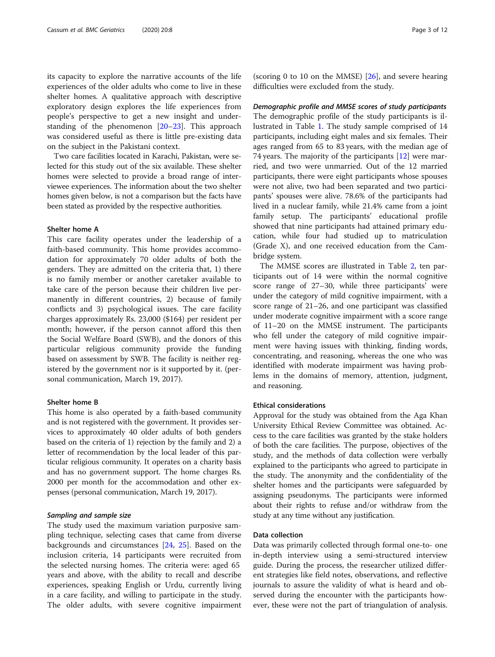its capacity to explore the narrative accounts of the life experiences of the older adults who come to live in these shelter homes. A qualitative approach with descriptive exploratory design explores the life experiences from people's perspective to get a new insight and understanding of the phenomenon [\[20](#page-11-0)–[23\]](#page-11-0). This approach was considered useful as there is little pre-existing data on the subject in the Pakistani context.

Two care facilities located in Karachi, Pakistan, were selected for this study out of the six available. These shelter homes were selected to provide a broad range of interviewee experiences. The information about the two shelter homes given below, is not a comparison but the facts have been stated as provided by the respective authorities.

#### Shelter home A

This care facility operates under the leadership of a faith-based community. This home provides accommodation for approximately 70 older adults of both the genders. They are admitted on the criteria that, 1) there is no family member or another caretaker available to take care of the person because their children live permanently in different countries, 2) because of family conflicts and 3) psychological issues. The care facility charges approximately Rs. 23,000 (\$164) per resident per month; however, if the person cannot afford this then the Social Welfare Board (SWB), and the donors of this particular religious community provide the funding based on assessment by SWB. The facility is neither registered by the government nor is it supported by it. (personal communication, March 19, 2017).

#### Shelter home B

This home is also operated by a faith-based community and is not registered with the government. It provides services to approximately 40 older adults of both genders based on the criteria of 1) rejection by the family and 2) a letter of recommendation by the local leader of this particular religious community. It operates on a charity basis and has no government support. The home charges Rs. 2000 per month for the accommodation and other expenses (personal communication, March 19, 2017).

#### Sampling and sample size

The study used the maximum variation purposive sampling technique, selecting cases that came from diverse backgrounds and circumstances [\[24](#page-11-0), [25\]](#page-11-0). Based on the inclusion criteria, 14 participants were recruited from the selected nursing homes. The criteria were: aged 65 years and above, with the ability to recall and describe experiences, speaking English or Urdu, currently living in a care facility, and willing to participate in the study. The older adults, with severe cognitive impairment

(scoring 0 to 10 on the MMSE) [[26](#page-11-0)], and severe hearing difficulties were excluded from the study.

Demographic profile and MMSE scores of study participants The demographic profile of the study participants is illustrated in Table [1](#page-3-0). The study sample comprised of 14 participants, including eight males and six females. Their ages ranged from 65 to 83 years, with the median age of 74 years. The majority of the participants  $[12]$  were married, and two were unmarried. Out of the 12 married participants, there were eight participants whose spouses were not alive, two had been separated and two participants' spouses were alive. 78.6% of the participants had lived in a nuclear family, while 21.4% came from a joint family setup. The participants' educational profile showed that nine participants had attained primary education, while four had studied up to matriculation (Grade X), and one received education from the Cambridge system.

The MMSE scores are illustrated in Table [2,](#page-3-0) ten participants out of 14 were within the normal cognitive score range of 27–30, while three participants' were under the category of mild cognitive impairment, with a score range of 21–26, and one participant was classified under moderate cognitive impairment with a score range of 11–20 on the MMSE instrument. The participants who fell under the category of mild cognitive impairment were having issues with thinking, finding words, concentrating, and reasoning, whereas the one who was identified with moderate impairment was having problems in the domains of memory, attention, judgment, and reasoning.

#### Ethical considerations

Approval for the study was obtained from the Aga Khan University Ethical Review Committee was obtained. Access to the care facilities was granted by the stake holders of both the care facilities. The purpose, objectives of the study, and the methods of data collection were verbally explained to the participants who agreed to participate in the study. The anonymity and the confidentiality of the shelter homes and the participants were safeguarded by assigning pseudonyms. The participants were informed about their rights to refuse and/or withdraw from the study at any time without any justification.

#### Data collection

Data was primarily collected through formal one-to- one in-depth interview using a semi-structured interview guide. During the process, the researcher utilized different strategies like field notes, observations, and reflective journals to assure the validity of what is heard and observed during the encounter with the participants however, these were not the part of triangulation of analysis.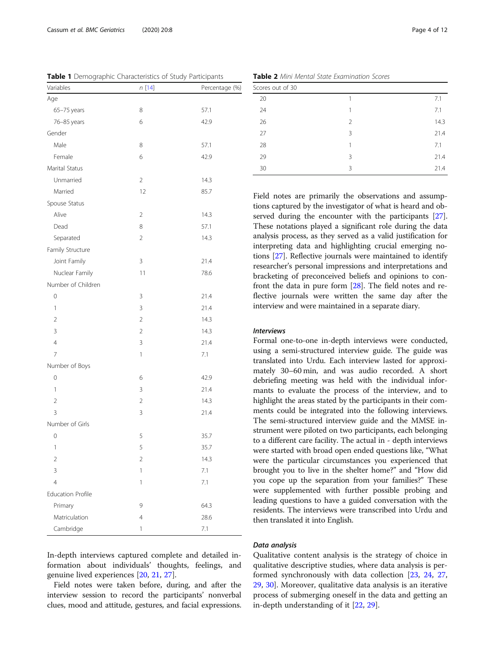In-depth interviews captured complete and detailed information about individuals' thoughts, feelings, and genuine lived experiences [[20](#page-11-0), [21](#page-11-0), [27](#page-11-0)].

Field notes were taken before, during, and after the interview session to record the participants' nonverbal clues, mood and attitude, gestures, and facial expressions. served during the encounter with the participants [[27](#page-11-0)]. These notations played a significant role during the data analysis process, as they served as a valid justification for interpreting data and highlighting crucial emerging notions [[27](#page-11-0)]. Reflective journals were maintained to identify researcher's personal impressions and interpretations and bracketing of preconceived beliefs and opinions to confront the data in pure form [[28](#page-11-0)]. The field notes and reflective journals were written the same day after the interview and were maintained in a separate diary.

Field notes are primarily the observations and assumptions captured by the investigator of what is heard and ob-

30 21.4

#### Interviews

Formal one-to-one in-depth interviews were conducted, using a semi-structured interview guide. The guide was translated into Urdu. Each interview lasted for approximately 30–60 min, and was audio recorded. A short debriefing meeting was held with the individual informants to evaluate the process of the interview, and to highlight the areas stated by the participants in their comments could be integrated into the following interviews. The semi-structured interview guide and the MMSE instrument were piloted on two participants, each belonging to a different care facility. The actual in - depth interviews were started with broad open ended questions like, "What were the particular circumstances you experienced that brought you to live in the shelter home?" and "How did you cope up the separation from your families?" These were supplemented with further possible probing and leading questions to have a guided conversation with the residents. The interviews were transcribed into Urdu and then translated it into English.

#### Data analysis

Qualitative content analysis is the strategy of choice in qualitative descriptive studies, where data analysis is performed synchronously with data collection [[23](#page-11-0), [24,](#page-11-0) [27](#page-11-0), [29,](#page-11-0) [30\]](#page-11-0). Moreover, qualitative data analysis is an iterative process of submerging oneself in the data and getting an in-depth understanding of it [[22,](#page-11-0) [29\]](#page-11-0).

<span id="page-3-0"></span>Table 1 Demographic Characteristics of Study Participants

| Variables                | n [14]         | Percentage (%) |
|--------------------------|----------------|----------------|
| Age                      |                |                |
| 65-75 years              | 8              | 57.1           |
| 76-85 years              | 6              | 42.9           |
| Gender                   |                |                |
| Male                     | 8              | 57.1           |
| Female                   | 6              | 42.9           |
| Marital Status           |                |                |
| Unmarried                | 2              | 14.3           |
| Married                  | 12             | 85.7           |
| Spouse Status            |                |                |
| Alive                    | 2              | 14.3           |
| Dead                     | 8              | 57.1           |
| Separated                | 2              | 14.3           |
| Family Structure         |                |                |
| Joint Family             | 3              | 21.4           |
| Nuclear Family           | 11             | 78.6           |
| Number of Children       |                |                |
| 0                        | 3              | 21.4           |
| 1                        | 3              | 21.4           |
| 2                        | $\overline{2}$ | 14.3           |
| 3                        | $\overline{2}$ | 14.3           |
| $\overline{4}$           | 3              | 21.4           |
| 7                        | 1              | 7.1            |
| Number of Boys           |                |                |
| 0                        | 6              | 42.9           |
| 1                        | 3              | 21.4           |
| $\overline{2}$           | $\overline{2}$ | 14.3           |
| 3                        | 3              | 21.4           |
| Number of Girls          |                |                |
| 0                        | 5              | 35.7           |
| 1                        | 5              | 35.7           |
| 2                        | $\overline{2}$ | 14.3           |
| 3                        | 1              | 7.1            |
| 4                        | 1              | 7.1            |
| <b>Education Profile</b> |                |                |
| Primary                  | 9              | 64.3           |
| Matriculation            | $\overline{4}$ | 28.6           |
| Cambridge                | $\mathbf{1}$   | 7.1            |

| Scores out of 30 |               |      |
|------------------|---------------|------|
| 20               |               | 7.1  |
| 24               |               | 7.1  |
| 26               | $\mathcal{P}$ | 14.3 |
| 27               | 3             | 21.4 |
| 28               |               | 7.1  |
| 29               | 3             | 21.4 |

Table 2 Mini Mental State Examination Scores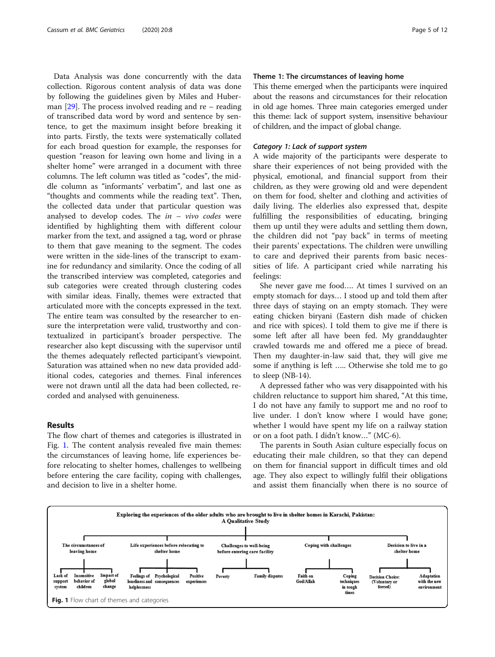Data Analysis was done concurrently with the data collection. Rigorous content analysis of data was done by following the guidelines given by Miles and Huberman  $[29]$  $[29]$ . The process involved reading and re – reading of transcribed data word by word and sentence by sentence, to get the maximum insight before breaking it into parts. Firstly, the texts were systematically collated for each broad question for example, the responses for question "reason for leaving own home and living in a shelter home" were arranged in a document with three columns. The left column was titled as "codes", the middle column as "informants' verbatim", and last one as "thoughts and comments while the reading text". Then, the collected data under that particular question was analysed to develop codes. The  $in - vivo$  codes were identified by highlighting them with different colour marker from the text, and assigned a tag, word or phrase to them that gave meaning to the segment. The codes were written in the side-lines of the transcript to examine for redundancy and similarity. Once the coding of all the transcribed interview was completed, categories and sub categories were created through clustering codes with similar ideas. Finally, themes were extracted that articulated more with the concepts expressed in the text. The entire team was consulted by the researcher to ensure the interpretation were valid, trustworthy and contextualized in participant's broader perspective. The researcher also kept discussing with the supervisor until the themes adequately reflected participant's viewpoint. Saturation was attained when no new data provided additional codes, categories and themes. Final inferences were not drawn until all the data had been collected, recorded and analysed with genuineness.

#### Results

The flow chart of themes and categories is illustrated in Fig. 1. The content analysis revealed five main themes: the circumstances of leaving home, life experiences before relocating to shelter homes, challenges to wellbeing before entering the care facility, coping with challenges, and decision to live in a shelter home.

#### Theme 1: The circumstances of leaving home

This theme emerged when the participants were inquired about the reasons and circumstances for their relocation in old age homes. Three main categories emerged under this theme: lack of support system, insensitive behaviour of children, and the impact of global change.

#### Category 1: Lack of support system

A wide majority of the participants were desperate to share their experiences of not being provided with the physical, emotional, and financial support from their children, as they were growing old and were dependent on them for food, shelter and clothing and activities of daily living. The elderlies also expressed that, despite fulfilling the responsibilities of educating, bringing them up until they were adults and settling them down, the children did not "pay back" in terms of meeting their parents' expectations. The children were unwilling to care and deprived their parents from basic necessities of life. A participant cried while narrating his feelings:

She never gave me food…. At times I survived on an empty stomach for days… I stood up and told them after three days of staying on an empty stomach. They were eating chicken biryani (Eastern dish made of chicken and rice with spices). I told them to give me if there is some left after all have been fed. My granddaughter crawled towards me and offered me a piece of bread. Then my daughter-in-law said that, they will give me some if anything is left ….. Otherwise she told me to go to sleep (NB-14).

A depressed father who was very disappointed with his children reluctance to support him shared, "At this time, I do not have any family to support me and no roof to live under. I don't know where I would have gone; whether I would have spent my life on a railway station or on a foot path. I didn't know…" (MC-6).

The parents in South Asian culture especially focus on educating their male children, so that they can depend on them for financial support in difficult times and old age. They also expect to willingly fulfil their obligations and assist them financially when there is no source of

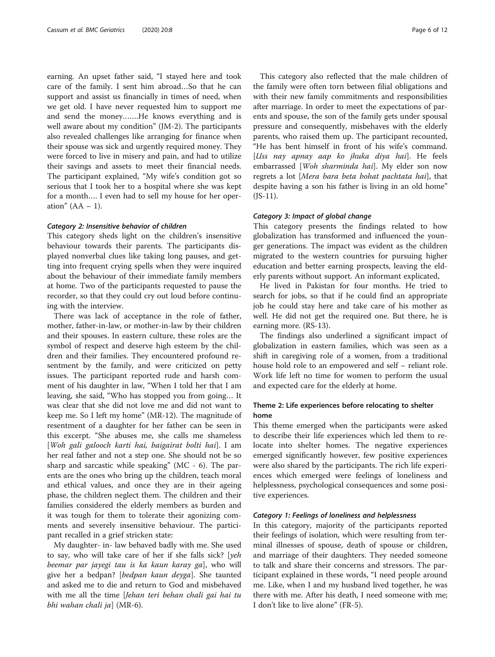earning. An upset father said, "I stayed here and took care of the family. I sent him abroad…So that he can support and assist us financially in times of need, when we get old. I have never requested him to support me and send the money…….He knows everything and is well aware about my condition" (JM-2). The participants also revealed challenges like arranging for finance when their spouse was sick and urgently required money. They were forced to live in misery and pain, and had to utilize their savings and assets to meet their financial needs. The participant explained, "My wife's condition got so serious that I took her to a hospital where she was kept for a month…. I even had to sell my house for her operation"  $(AA - 1)$ .

#### Category 2: Insensitive behavior of children

This category sheds light on the children's insensitive behaviour towards their parents. The participants displayed nonverbal clues like taking long pauses, and getting into frequent crying spells when they were inquired about the behaviour of their immediate family members at home. Two of the participants requested to pause the recorder, so that they could cry out loud before continuing with the interview.

There was lack of acceptance in the role of father, mother, father-in-law, or mother-in-law by their children and their spouses. In eastern culture, these roles are the symbol of respect and deserve high esteem by the children and their families. They encountered profound resentment by the family, and were criticized on petty issues. The participant reported rude and harsh comment of his daughter in law, "When I told her that I am leaving, she said, "Who has stopped you from going… It was clear that she did not love me and did not want to keep me. So I left my home" (MR-12). The magnitude of resentment of a daughter for her father can be seen in this excerpt. "She abuses me, she calls me shameless [Woh gali galooch karti hai, baigairat bolti hai]. I am her real father and not a step one. She should not be so sharp and sarcastic while speaking" (MC - 6). The parents are the ones who bring up the children, teach moral and ethical values, and once they are in their ageing phase, the children neglect them. The children and their families considered the elderly members as burden and it was tough for them to tolerate their agonizing comments and severely insensitive behaviour. The participant recalled in a grief stricken state:

My daughter- in- law behaved badly with me. She used to say, who will take care of her if she falls sick? [yeh beemar par jayegi tau is ka kaun karay ga], who will give her a bedpan? [bedpan kaun deyga]. She taunted and asked me to die and return to God and misbehaved with me all the time *[Jehan teri behan chali gai hai tu* bhi wahan chali ja] (MR-6).

This category also reflected that the male children of the family were often torn between filial obligations and with their new family commitments and responsibilities after marriage. In order to meet the expectations of parents and spouse, the son of the family gets under spousal pressure and consequently, misbehaves with the elderly parents, who raised them up. The participant recounted, "He has bent himself in front of his wife's command. [Uss nay apnay aap ko jhuka diya hai]. He feels embarrassed [Woh sharminda hai]. My elder son now regrets a lot [Mera bara beta bohat pachtata hai], that despite having a son his father is living in an old home"  $($ IS-11).

#### Category 3: Impact of global change

This category presents the findings related to how globalization has transformed and influenced the younger generations. The impact was evident as the children migrated to the western countries for pursuing higher education and better earning prospects, leaving the elderly parents without support. An informant explicated,

He lived in Pakistan for four months. He tried to search for jobs, so that if he could find an appropriate job he could stay here and take care of his mother as well. He did not get the required one. But there, he is earning more. (RS-13).

The findings also underlined a significant impact of globalization in eastern families, which was seen as a shift in caregiving role of a women, from a traditional house hold role to an empowered and self – reliant role. Work life left no time for women to perform the usual and expected care for the elderly at home.

#### Theme 2: Life experiences before relocating to shelter home

This theme emerged when the participants were asked to describe their life experiences which led them to relocate into shelter homes. The negative experiences emerged significantly however, few positive experiences were also shared by the participants. The rich life experiences which emerged were feelings of loneliness and helplessness, psychological consequences and some positive experiences.

#### Category 1: Feelings of loneliness and helplessness

In this category, majority of the participants reported their feelings of isolation, which were resulting from terminal illnesses of spouse, death of spouse or children, and marriage of their daughters. They needed someone to talk and share their concerns and stressors. The participant explained in these words, "I need people around me. Like, when I and my husband lived together, he was there with me. After his death, I need someone with me; I don't like to live alone" (FR-5).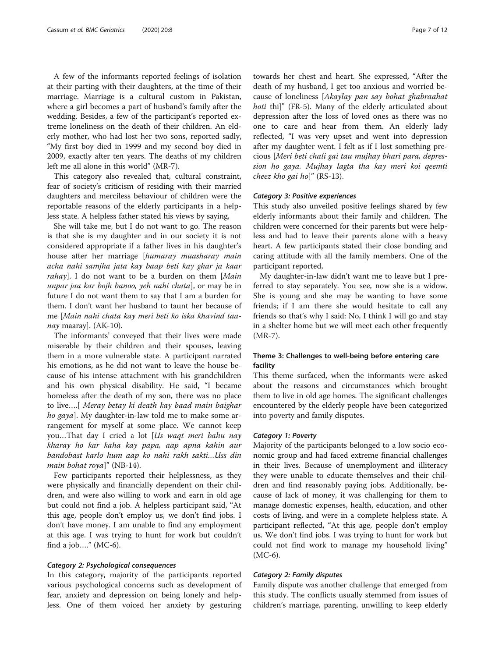A few of the informants reported feelings of isolation at their parting with their daughters, at the time of their marriage. Marriage is a cultural custom in Pakistan, where a girl becomes a part of husband's family after the wedding. Besides, a few of the participant's reported extreme loneliness on the death of their children. An elderly mother, who had lost her two sons, reported sadly, "My first boy died in 1999 and my second boy died in 2009, exactly after ten years. The deaths of my children left me all alone in this world" (MR-7).

This category also revealed that, cultural constraint, fear of society's criticism of residing with their married daughters and merciless behaviour of children were the reportable reasons of the elderly participants in a helpless state. A helpless father stated his views by saying,

She will take me, but I do not want to go. The reason is that she is my daughter and in our society it is not considered appropriate if a father lives in his daughter's house after her marriage [humaray muasharay main acha nahi samjha jata kay baap beti kay ghar ja kaar *rahay*]. I do not want to be a burden on them [Main unpar jaa kar bojh banoo, yeh nahi chata], or may be in future I do not want them to say that I am a burden for them. I don't want her husband to taunt her because of me [Main nahi chata kay meri beti ko iska khavind taanay maaray].  $(AK-10)$ .

The informants' conveyed that their lives were made miserable by their children and their spouses, leaving them in a more vulnerable state. A participant narrated his emotions, as he did not want to leave the house because of his intense attachment with his grandchildren and his own physical disability. He said, "I became homeless after the death of my son, there was no place to live….[ Meray betay ki death kay baad main baighar ho gaya]. My daughter-in-law told me to make some arrangement for myself at some place. We cannot keep you…That day I cried a lot [Us waqt meri bahu nay kharay ho kar kaha kay papa, aap apna kahin aur bandobast karlo hum aap ko nahi rakh sakti…Uss din main bohat roya]" (NB-14).

Few participants reported their helplessness, as they were physically and financially dependent on their children, and were also willing to work and earn in old age but could not find a job. A helpless participant said, "At this age, people don't employ us, we don't find jobs. I don't have money. I am unable to find any employment at this age. I was trying to hunt for work but couldn't find a job...."  $(MC-6)$ .

#### Category 2: Psychological consequences

In this category, majority of the participants reported various psychological concerns such as development of fear, anxiety and depression on being lonely and helpless. One of them voiced her anxiety by gesturing towards her chest and heart. She expressed, "After the death of my husband, I get too anxious and worried because of loneliness [Akaylay pan say bohat ghabraahat hoti thi]" (FR-5). Many of the elderly articulated about depression after the loss of loved ones as there was no one to care and hear from them. An elderly lady reflected, "I was very upset and went into depression after my daughter went. I felt as if I lost something precious [Meri beti chali gai tau mujhay bhari para, depression ho gaya. Mujhay lagta tha kay meri koi qeemti cheez kho gai ho]" (RS-13).

#### Category 3: Positive experiences

This study also unveiled positive feelings shared by few elderly informants about their family and children. The children were concerned for their parents but were helpless and had to leave their parents alone with a heavy heart. A few participants stated their close bonding and caring attitude with all the family members. One of the participant reported,

My daughter-in-law didn't want me to leave but I preferred to stay separately. You see, now she is a widow. She is young and she may be wanting to have some friends; if I am there she would hesitate to call any friends so that's why I said: No, I think I will go and stay in a shelter home but we will meet each other frequently (MR-7).

#### Theme 3: Challenges to well-being before entering care facility

This theme surfaced, when the informants were asked about the reasons and circumstances which brought them to live in old age homes. The significant challenges encountered by the elderly people have been categorized into poverty and family disputes.

#### Category 1: Poverty

Majority of the participants belonged to a low socio economic group and had faced extreme financial challenges in their lives. Because of unemployment and illiteracy they were unable to educate themselves and their children and find reasonably paying jobs. Additionally, because of lack of money, it was challenging for them to manage domestic expenses, health, education, and other costs of living, and were in a complete helpless state. A participant reflected, "At this age, people don't employ us. We don't find jobs. I was trying to hunt for work but could not find work to manage my household living" (MC-6).

#### Category 2: Family disputes

Family dispute was another challenge that emerged from this study. The conflicts usually stemmed from issues of children's marriage, parenting, unwilling to keep elderly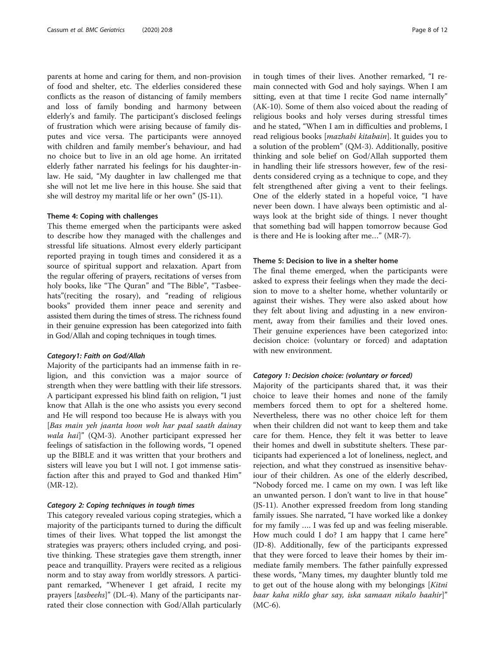parents at home and caring for them, and non-provision of food and shelter, etc. The elderlies considered these conflicts as the reason of distancing of family members and loss of family bonding and harmony between elderly's and family. The participant's disclosed feelings of frustration which were arising because of family disputes and vice versa. The participants were annoyed with children and family member's behaviour, and had no choice but to live in an old age home. An irritated elderly father narrated his feelings for his daughter-inlaw. He said, "My daughter in law challenged me that she will not let me live here in this house. She said that she will destroy my marital life or her own" (JS-11).

#### Theme 4: Coping with challenges

This theme emerged when the participants were asked to describe how they managed with the challenges and stressful life situations. Almost every elderly participant reported praying in tough times and considered it as a source of spiritual support and relaxation. Apart from the regular offering of prayers, recitations of verses from holy books, like "The Quran" and "The Bible", "Tasbeehats"(reciting the rosary), and "reading of religious books" provided them inner peace and serenity and assisted them during the times of stress. The richness found in their genuine expression has been categorized into faith in God/Allah and coping techniques in tough times.

#### Category1: Faith on God/Allah

Majority of the participants had an immense faith in religion, and this conviction was a major source of strength when they were battling with their life stressors. A participant expressed his blind faith on religion, "I just know that Allah is the one who assists you every second and He will respond too because He is always with you [Bas main yeh jaanta hoon woh har paal saath dainay wala hai]" (QM-3). Another participant expressed her feelings of satisfaction in the following words, "I opened up the BIBLE and it was written that your brothers and sisters will leave you but I will not. I got immense satisfaction after this and prayed to God and thanked Him" (MR-12).

#### Category 2: Coping techniques in tough times

This category revealed various coping strategies, which a majority of the participants turned to during the difficult times of their lives. What topped the list amongst the strategies was prayers; others included crying, and positive thinking. These strategies gave them strength, inner peace and tranquillity. Prayers were recited as a religious norm and to stay away from worldly stressors. A participant remarked, "Whenever I get afraid, I recite my prayers [tasbeehs]" (DL-4). Many of the participants narrated their close connection with God/Allah particularly in tough times of their lives. Another remarked, "I remain connected with God and holy sayings. When I am sitting, even at that time I recite God name internally" (AK-10). Some of them also voiced about the reading of religious books and holy verses during stressful times and he stated, "When I am in difficulties and problems, I read religious books [mazhabi kitabain]. It guides you to a solution of the problem" (QM-3). Additionally, positive thinking and sole belief on God/Allah supported them in handling their life stressors however, few of the residents considered crying as a technique to cope, and they felt strengthened after giving a vent to their feelings. One of the elderly stated in a hopeful voice, "I have never been down. I have always been optimistic and always look at the bright side of things. I never thought that something bad will happen tomorrow because God is there and He is looking after me…" (MR-7).

#### Theme 5: Decision to live in a shelter home

The final theme emerged, when the participants were asked to express their feelings when they made the decision to move to a shelter home, whether voluntarily or against their wishes. They were also asked about how they felt about living and adjusting in a new environment, away from their families and their loved ones. Their genuine experiences have been categorized into: decision choice: (voluntary or forced) and adaptation with new environment.

#### Category 1: Decision choice: (voluntary or forced)

Majority of the participants shared that, it was their choice to leave their homes and none of the family members forced them to opt for a sheltered home. Nevertheless, there was no other choice left for them when their children did not want to keep them and take care for them. Hence, they felt it was better to leave their homes and dwell in substitute shelters. These participants had experienced a lot of loneliness, neglect, and rejection, and what they construed as insensitive behaviour of their children. As one of the elderly described, "Nobody forced me. I came on my own. I was left like an unwanted person. I don't want to live in that house" (JS-11). Another expressed freedom from long standing family issues. She narrated, "I have worked like a donkey for my family …. I was fed up and was feeling miserable. How much could I do? I am happy that I came here" (JD-8). Additionally, few of the participants expressed that they were forced to leave their homes by their immediate family members. The father painfully expressed these words, "Many times, my daughter bluntly told me to get out of the house along with my belongings [Kitni baar kaha niklo ghar say, iska samaan nikalo baahir]" (MC-6).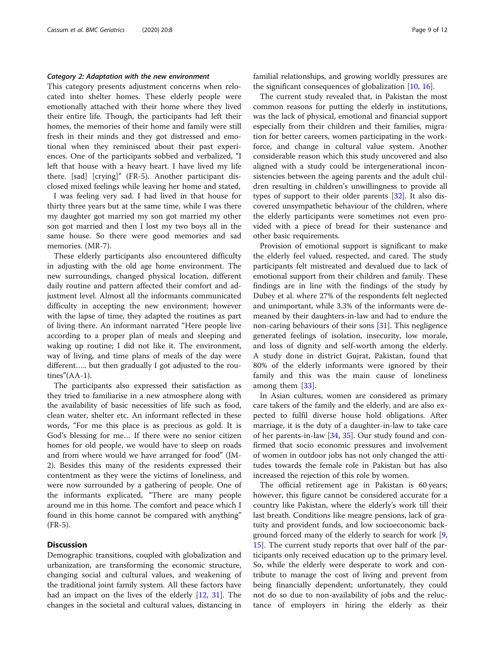#### Category 2: Adaptation with the new environment

This category presents adjustment concerns when relocated into shelter homes. These elderly people were emotionally attached with their home where they lived their entire life. Though, the participants had left their homes, the memories of their home and family were still fresh in their minds and they got distressed and emotional when they reminisced about their past experiences. One of the participants sobbed and verbalized, "I left that house with a heavy heart. I have lived my life there. [sad] [crying]" (FR-5). Another participant disclosed mixed feelings while leaving her home and stated,

I was feeling very sad. I had lived in that house for thirty three years but at the same time, while I was there my daughter got married my son got married my other son got married and then I lost my two boys all in the same house. So there were good memories and sad memories. (MR-7).

These elderly participants also encountered difficulty in adjusting with the old age home environment. The new surroundings, changed physical location, different daily routine and pattern affected their comfort and adjustment level. Almost all the informants communicated difficulty in accepting the new environment; however with the lapse of time, they adapted the routines as part of living there. An informant narrated "Here people live according to a proper plan of meals and sleeping and waking up routine; I did not like it. The environment, way of living, and time plans of meals of the day were different….. but then gradually I got adjusted to the routines"(AA-1).

The participants also expressed their satisfaction as they tried to familiarise in a new atmosphere along with the availability of basic necessities of life such as food, clean water, shelter etc. An informant reflected in these words, "For me this place is as precious as gold. It is God's blessing for me… If there were no senior citizen homes for old people, we would have to sleep on roads and from where would we have arranged for food" (JM-2). Besides this many of the residents expressed their contentment as they were the victims of loneliness, and were now surrounded by a gathering of people. One of the informants explicated, "There are many people around me in this home. The comfort and peace which I found in this home cannot be compared with anything" (FR-5).

#### **Discussion**

Demographic transitions, coupled with globalization and urbanization, are transforming the economic structure, changing social and cultural values, and weakening of the traditional joint family system. All these factors have had an impact on the lives of the elderly [[12,](#page-10-0) [31\]](#page-11-0). The changes in the societal and cultural values, distancing in

The current study revealed that, in Pakistan the most common reasons for putting the elderly in institutions, was the lack of physical, emotional and financial support especially from their children and their families, migration for better careers, women participating in the workforce, and change in cultural value system. Another considerable reason which this study uncovered and also aligned with a study could be intergenerational inconsistencies between the ageing parents and the adult children resulting in children's unwillingness to provide all types of support to their older parents [\[32](#page-11-0)]. It also discovered unsympathetic behaviour of the children, where the elderly participants were sometimes not even provided with a piece of bread for their sustenance and other basic requirements.

Provision of emotional support is significant to make the elderly feel valued, respected, and cared. The study participants felt mistreated and devalued due to lack of emotional support from their children and family. These findings are in line with the findings of the study by Dubey et al. where 27% of the respondents felt neglected and unimportant, while 3.3% of the informants were demeaned by their daughters-in-law and had to endure the non-caring behaviours of their sons [\[31](#page-11-0)]. This negligence generated feelings of isolation, insecurity, low morale, and loss of dignity and self-worth among the elderly. A study done in district Gujrat, Pakistan, found that 80% of the elderly informants were ignored by their family and this was the main cause of loneliness among them [\[33\]](#page-11-0).

In Asian cultures, women are considered as primary care takers of the family and the elderly, and are also expected to fulfil diverse house hold obligations. After marriage, it is the duty of a daughter-in-law to take care of her parents-in-law [\[34](#page-11-0), [35](#page-11-0)]. Our study found and confirmed that socio economic pressures and involvement of women in outdoor jobs has not only changed the attitudes towards the female role in Pakistan but has also increased the rejection of this role by women.

The official retirement age in Pakistan is 60 years; however, this figure cannot be considered accurate for a country like Pakistan, where the elderly's work till their last breath. Conditions like meagre pensions, lack of gratuity and provident funds, and low socioeconomic background forced many of the elderly to search for work [\[9](#page-10-0), [15\]](#page-10-0). The current study reports that over half of the participants only received education up to the primary level. So, while the elderly were desperate to work and contribute to manage the cost of living and prevent from being financially dependent; unfortunately, they could not do so due to non-availability of jobs and the reluctance of employers in hiring the elderly as their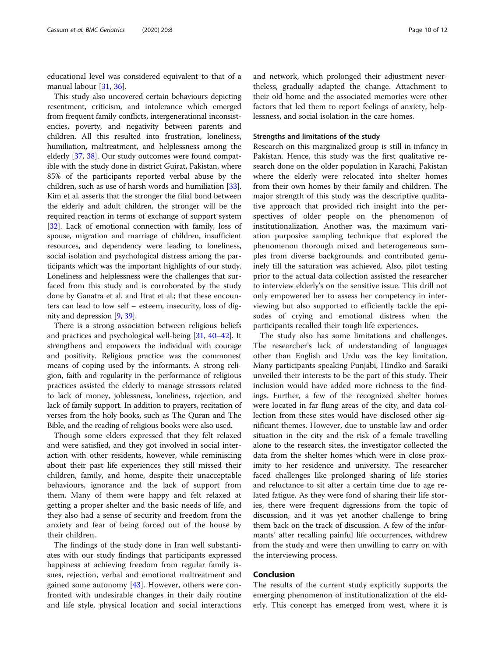educational level was considered equivalent to that of a manual labour [\[31,](#page-11-0) [36\]](#page-11-0).

This study also uncovered certain behaviours depicting resentment, criticism, and intolerance which emerged from frequent family conflicts, intergenerational inconsistencies, poverty, and negativity between parents and children. All this resulted into frustration, loneliness, humiliation, maltreatment, and helplessness among the elderly [[37](#page-11-0), [38\]](#page-11-0). Our study outcomes were found compatible with the study done in district Gujrat, Pakistan, where 85% of the participants reported verbal abuse by the children, such as use of harsh words and humiliation [[33](#page-11-0)]. Kim et al. asserts that the stronger the filial bond between the elderly and adult children, the stronger will be the required reaction in terms of exchange of support system [[32](#page-11-0)]. Lack of emotional connection with family, loss of spouse, migration and marriage of children, insufficient resources, and dependency were leading to loneliness, social isolation and psychological distress among the participants which was the important highlights of our study. Loneliness and helplessness were the challenges that surfaced from this study and is corroborated by the study done by Ganatra et al. and Itrat et al.; that these encounters can lead to low self – esteem, insecurity, loss of dignity and depression [\[9](#page-10-0), [39](#page-11-0)].

There is a strong association between religious beliefs and practices and psychological well-being [[31](#page-11-0), [40](#page-11-0)–[42\]](#page-11-0). It strengthens and empowers the individual with courage and positivity. Religious practice was the commonest means of coping used by the informants. A strong religion, faith and regularity in the performance of religious practices assisted the elderly to manage stressors related to lack of money, joblessness, loneliness, rejection, and lack of family support. In addition to prayers, recitation of verses from the holy books, such as The Quran and The Bible, and the reading of religious books were also used.

Though some elders expressed that they felt relaxed and were satisfied, and they got involved in social interaction with other residents, however, while reminiscing about their past life experiences they still missed their children, family, and home, despite their unacceptable behaviours, ignorance and the lack of support from them. Many of them were happy and felt relaxed at getting a proper shelter and the basic needs of life, and they also had a sense of security and freedom from the anxiety and fear of being forced out of the house by their children.

The findings of the study done in Iran well substantiates with our study findings that participants expressed happiness at achieving freedom from regular family issues, rejection, verbal and emotional maltreatment and gained some autonomy [[43](#page-11-0)]. However, others were confronted with undesirable changes in their daily routine and life style, physical location and social interactions and network, which prolonged their adjustment nevertheless, gradually adapted the change. Attachment to their old home and the associated memories were other factors that led them to report feelings of anxiety, helplessness, and social isolation in the care homes.

#### Strengths and limitations of the study

Research on this marginalized group is still in infancy in Pakistan. Hence, this study was the first qualitative research done on the older population in Karachi, Pakistan where the elderly were relocated into shelter homes from their own homes by their family and children. The major strength of this study was the descriptive qualitative approach that provided rich insight into the perspectives of older people on the phenomenon of institutionalization. Another was, the maximum variation purposive sampling technique that explored the phenomenon thorough mixed and heterogeneous samples from diverse backgrounds, and contributed genuinely till the saturation was achieved. Also, pilot testing prior to the actual data collection assisted the researcher to interview elderly's on the sensitive issue. This drill not only empowered her to assess her competency in interviewing but also supported to efficiently tackle the episodes of crying and emotional distress when the participants recalled their tough life experiences.

The study also has some limitations and challenges. The researcher's lack of understanding of languages other than English and Urdu was the key limitation. Many participants speaking Punjabi, Hindko and Saraiki unveiled their interests to be the part of this study. Their inclusion would have added more richness to the findings. Further, a few of the recognized shelter homes were located in far flung areas of the city, and data collection from these sites would have disclosed other significant themes. However, due to unstable law and order situation in the city and the risk of a female travelling alone to the research sites, the investigator collected the data from the shelter homes which were in close proximity to her residence and university. The researcher faced challenges like prolonged sharing of life stories and reluctance to sit after a certain time due to age related fatigue. As they were fond of sharing their life stories, there were frequent digressions from the topic of discussion, and it was yet another challenge to bring them back on the track of discussion. A few of the informants' after recalling painful life occurrences, withdrew from the study and were then unwilling to carry on with the interviewing process.

#### Conclusion

The results of the current study explicitly supports the emerging phenomenon of institutionalization of the elderly. This concept has emerged from west, where it is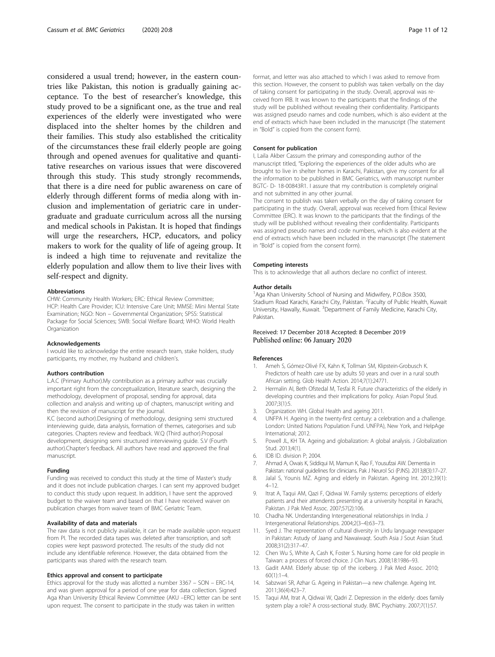<span id="page-10-0"></span>considered a usual trend; however, in the eastern countries like Pakistan, this notion is gradually gaining acceptance. To the best of researcher's knowledge, this study proved to be a significant one, as the true and real experiences of the elderly were investigated who were displaced into the shelter homes by the children and their families. This study also established the criticality of the circumstances these frail elderly people are going through and opened avenues for qualitative and quantitative researches on various issues that were discovered through this study. This study strongly recommends, that there is a dire need for public awareness on care of elderly through different forms of media along with inclusion and implementation of geriatric care in undergraduate and graduate curriculum across all the nursing and medical schools in Pakistan. It is hoped that findings will urge the researchers, HCP, educators, and policy makers to work for the quality of life of ageing group. It is indeed a high time to rejuvenate and revitalize the elderly population and allow them to live their lives with self-respect and dignity.

#### Abbreviations

CHW: Community Health Workers; ERC: Ethical Review Committee; HCP: Health Care Provider; ICU: Intensive Care Unit; MMSE: Mini Mental State Examination; NGO: Non – Governmental Organization; SPSS: Statistical Package for Social Sciences; SWB: Social Welfare Board; WHO: World Health Organization

#### Acknowledgements

I would like to acknowledge the entire research team, stake holders, study participants, my mother, my husband and children's.

#### Authors contribution

L.A.C (Primary Author).My contribution as a primary author was crucially important right from the conceptualization, literature search, designing the methodology, development of proposal, sending for approval, data collection and analysis and writing up of chapters, manuscript writing and then the revision of manuscript for the journal.

K.C (second author).Designing of methodology, designing semi structured interviewing guide, data analysis, formation of themes, categorises and sub categories. Chapters review and feedback. W.Q (Third author).Proposal development, designing semi structured interviewing guide. S.V (Fourth author).Chapter's feedback. All authors have read and approved the final manuscript.

#### Funding

Funding was received to conduct this study at the time of Master's study and it does not include publication charges. I can sent my approved budget to conduct this study upon request. In addition, I have sent the approved budget to the waiver team and based on that I have received waiver on publication charges from waiver team of BMC Geriatric Team.

#### Availability of data and materials

The raw data is not publicly available, it can be made available upon request from PI. The recorded data tapes was deleted after transcription, and soft copies were kept password protected. The results of the study did not include any identifiable reference. However, the data obtained from the participants was shared with the research team.

#### Ethics approval and consent to participate

Ethics approval for the study was allotted a number 3367 – SON – ERC-14, and was given approval for a period of one year for data collection. Signed Aga Khan University Ethical Review Committee (AKU –ERC) letter can be sent upon request. The consent to participate in the study was taken in written

format, and letter was also attached to which I was asked to remove from this section. However, the consent to publish was taken verbally on the day of taking consent for participating in the study. Overall, approval was received from IRB. It was known to the participants that the findings of the study will be published without revealing their confidentiality. Participants was assigned pseudo names and code numbers, which is also evident at the end of extracts which have been included in the manuscript (The statement in "Bold" is copied from the consent form).

#### Consent for publication

I, Laila Akber Cassum the primary and corresponding author of the manuscript titled, "Exploring the experiences of the older adults who are brought to live in shelter homes in Karachi, Pakistan, give my consent for all the information to be published in BMC Geriatrics, with manuscript number BGTC- D- 18-00843R1. I assure that my contribution is completely original and not submitted in any other journal.

The consent to publish was taken verbally on the day of taking consent for participating in the study. Overall, approval was received from Ethical Review Committee (ERC). It was known to the participants that the findings of the study will be published without revealing their confidentiality. Participants was assigned pseudo names and code numbers, which is also evident at the end of extracts which have been included in the manuscript (The statement in "Bold" is copied from the consent form).

#### Competing interests

This is to acknowledge that all authors declare no conflict of interest.

#### Author details

<sup>1</sup> Aga Khan University School of Nursing and Midwifery, P.O.Box 3500 Stadium Road Karachi, Karachi City, Pakistan. <sup>2</sup> Faculty of Public Health, Kuwait University, Hawally, Kuwait. <sup>3</sup>Department of Family Medicine, Karachi City, Pakistan.

#### Received: 17 December 2018 Accepted: 8 December 2019 Published online: 06 January 2020

#### References

- 1. Ameh S, Gómez-Olivé FX, Kahn K, Tollman SM, Klipstein-Grobusch K. Predictors of health care use by adults 50 years and over in a rural south African setting. Glob Health Action. 2014;7(1):24771.
- Hermalin AI, Beth Ofstedal M, Tesfai R. Future characteristics of the elderly in developing countries and their implications for policy. Asian Popul Stud. 2007;3(1):5.
- 3. Organization WH. Global Health and ageing 2011.
- UNFPA H. Ageing in the twenty-first century: a celebration and a challenge. London: United Nations Population Fund. UNFPA), New York, and HelpAge International; 2012.
- 5. Powell JL, KH TA. Ageing and globalization: A global analysis. J Globalization Stud. 2013;4(1).
- 6. IDB ID. division P; 2004.
- 7. Ahmad A, Owais K, Siddiqui M, Mamun K, Rao F, Yousufzai AW. Dementia in Pakistan: national guidelines for clinicians. Pak J Neurol Sci (PJNS). 2013;8(3):17–27.
- 8. Jalal S, Younis MZ. Aging and elderly in Pakistan. Ageing Int. 2012;39(1): 4–12.
- 9. Itrat A, Taqui AM, Qazi F, Qidwai W. Family systems: perceptions of elderly patients and their attendents presenting at a university hospital in Karachi, Pakistan. J Pak Med Assoc. 2007;57(2):106.
- 10. Chadha NK. Understanding Intergenerational relationships in India. J Intergenerational Relationships. 2004;2(3–4):63–73.
- 11. Syed J. The repreentation of cultural diversity in Urdu language newspaper in Pakistan: Astudy of Jaang and Nawaiwaqt. South Asia J Sout Asian Stud. 2008;31(2):317–47.
- 12. Chen Wu S, White A, Cash K, Foster S. Nursing home care for old people in Taiwan: a process of forced choice. J Clin Nurs. 2008;18:1986–93.
- 13. Gadit AAM. Elderly abuse: tip of the iceberg. J Pak Med Assoc. 2010; 60(1):1–4.
- 14. Sabzwari SR, Azhar G. Ageing in Pakistan—a new challenge. Ageing Int. 2011;36(4):423–7.
- 15. Taqui AM, Itrat A, Qidwai W, Qadri Z. Depression in the elderly: does family system play a role? A cross-sectional study. BMC Psychiatry. 2007;7(1):57.